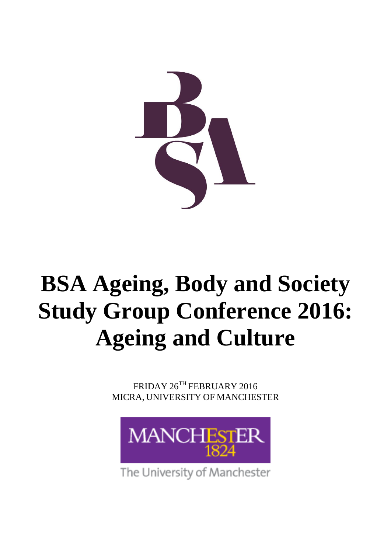

# **BSA Ageing, Body and Society Study Group Conference 2016: Ageing and Culture**

FRIDAY 26TH FEBRUARY 2016 MICRA, UNIVERSITY OF MANCHESTER



The University of Manchester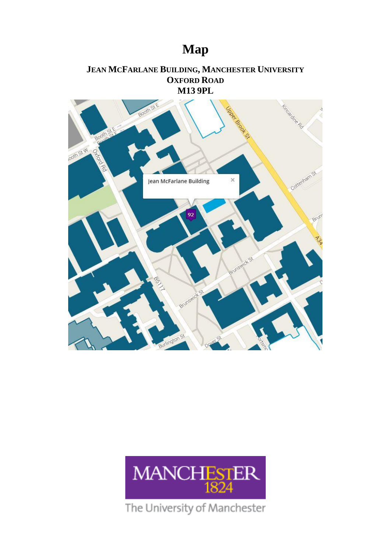# **Map**

### **JEAN MCFARLANE BUILDING, MANCHESTER UNIVERSITY OXFORD ROAD M13 9PL**





The University of Manchester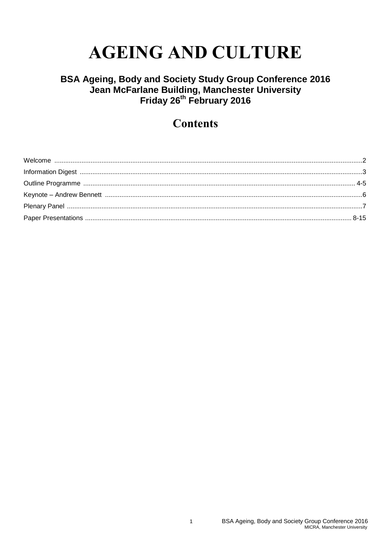# **AGEING AND CULTURE**

# BSA Ageing, Body and Society Study Group Conference 2016<br>Jean McFarlane Building, Manchester University<br>Friday 26<sup>th</sup> February 2016

### **Contents**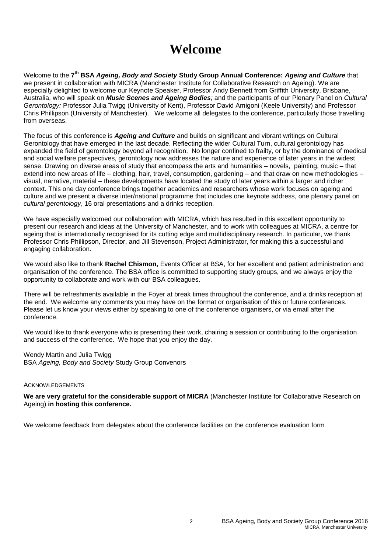# **Welcome**

Welcome to the **7 th BSA** *Ageing, Body and Society* **Study Group Annual Conference:** *Ageing and Culture* that we present in collaboration with MICRA (Manchester Institute for Collaborative Research on Ageing). We are especially delighted to welcome our Keynote Speaker, Professor Andy Bennett from Griffith University, Brisbane, Australia, who will speak on *Music Scenes and Ageing Bodies;* and the participants of our Plenary Panel on *Cultural Gerontology:* Professor Julia Twigg (University of Kent), Professor David Amigoni (Keele University) and Professor Chris Phillipson (University of Manchester). We welcome all delegates to the conference, particularly those travelling from overseas.

The focus of this conference is *Ageing and Culture* and builds on significant and vibrant writings on Cultural Gerontology that have emerged in the last decade. Reflecting the wider Cultural Turn, cultural gerontology has expanded the field of gerontology beyond all recognition. No longer confined to frailty, or by the dominance of medical and social welfare perspectives, gerontology now addresses the nature and experience of later years in the widest sense. Drawing on diverse areas of study that encompass the arts and humanities – novels, painting, music – that extend into new areas of life – clothing, hair, travel, consumption, gardening – and that draw on new methodologies – visual, narrative, material – these developments have located the study of later years within a larger and richer context. This one day conference brings together academics and researchers whose work focuses on ageing and culture and we present a diverse inter/national programme that includes one keynote address, one plenary panel on *cultural gerontology*, 16 oral presentations and a drinks reception.

We have especially welcomed our collaboration with MICRA, which has resulted in this excellent opportunity to present our research and ideas at the University of Manchester, and to work with colleagues at MICRA, a centre for ageing that is internationally recognised for its cutting edge and multidisciplinary research. In particular, we thank Professor Chris Phillipson, Director, and Jill Stevenson, Project Administrator, for making this a successful and engaging collaboration.

We would also like to thank **Rachel Chismon,** Events Officer at BSA, for her excellent and patient administration and organisation of the conference. The BSA office is committed to supporting study groups, and we always enjoy the opportunity to collaborate and work with our BSA colleagues.

There will be refreshments available in the Foyer at break times throughout the conference, and a drinks reception at the end. We welcome any comments you may have on the format or organisation of this or future conferences. Please let us know your views either by speaking to one of the conference organisers, or via email after the conference.

We would like to thank everyone who is presenting their work, chairing a session or contributing to the organisation and success of the conference. We hope that you enjoy the day.

Wendy Martin and Julia Twigg BSA *Ageing, Body and Society* Study Group Convenors

### ACKNOWLEDGEMENTS

**We are very grateful for the considerable support of MICRA** (Manchester Institute for Collaborative Research on Ageing) **in hosting this conference.**

We welcome feedback from delegates about the conference facilities on the conference evaluation form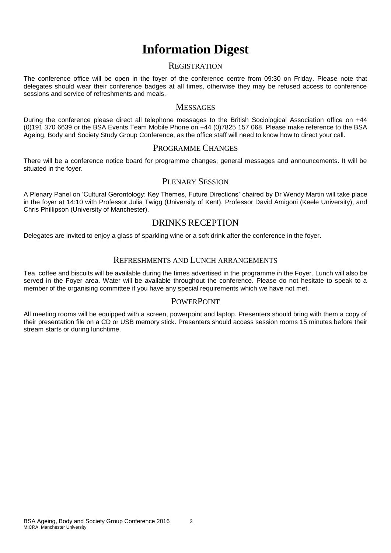# **Information Digest**

### **REGISTRATION**

The conference office will be open in the foyer of the conference centre from 09:30 on Friday. Please note that delegates should wear their conference badges at all times, otherwise they may be refused access to conference sessions and service of refreshments and meals.

### **MESSAGES**

During the conference please direct all telephone messages to the British Sociological Association office on +44 (0)191 370 6639 or the BSA Events Team Mobile Phone on +44 (0)7825 157 068. Please make reference to the BSA Ageing, Body and Society Study Group Conference, as the office staff will need to know how to direct your call.

### PROGRAMME CHANGES

There will be a conference notice board for programme changes, general messages and announcements. It will be situated in the foyer.

### PLENARY SESSION

A Plenary Panel on 'Cultural Gerontology: Key Themes, Future Directions' chaired by Dr Wendy Martin will take place in the foyer at 14:10 with Professor Julia Twigg (University of Kent), Professor David Amigoni (Keele University), and Chris Phillipson (University of Manchester).

### DRINKS RECEPTION

Delegates are invited to enjoy a glass of sparkling wine or a soft drink after the conference in the foyer.

### REFRESHMENTS AND LUNCH ARRANGEMENTS

Tea, coffee and biscuits will be available during the times advertised in the programme in the Foyer. Lunch will also be served in the Foyer area. Water will be available throughout the conference. Please do not hesitate to speak to a member of the organising committee if you have any special requirements which we have not met.

### **POWERPOINT**

All meeting rooms will be equipped with a screen, powerpoint and laptop. Presenters should bring with them a copy of their presentation file on a CD or USB memory stick. Presenters should access session rooms 15 minutes before their stream starts or during lunchtime.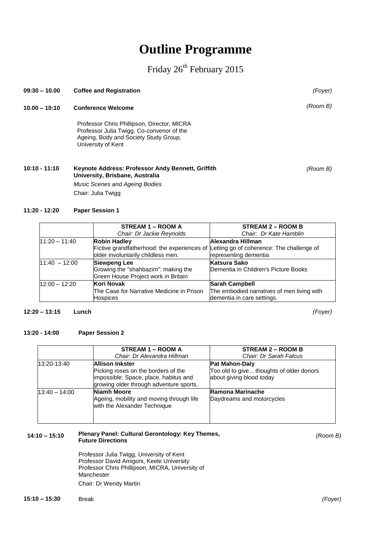## **Outline Programme**

### Friday 26<sup>th</sup> February 2015

**10.00 – 10:10 Conference Welcome** Professor Chris Phillipson, Director, MICRA Professor Julia Twigg, Co-convenor of the Ageing, Body and Society Study Group, University of Kent **10:10 - 11:10 Keynote Address: Professor Andy Bennett, Griffith University, Brisbane, Australia** *Music Scenes and Ageing Bodies* Chair: Julia Twigg **11:20 - 12:20 Paper Session 1 STREAM 1 – ROOM A** *Chair: Dr Jackie Reynolds* **STREAM 2 – ROOM B** *Chair: Dr Kate Hamblin* 11:20 – 11:40 **Robin Hadley Alexandra Hillman**

**09:30 – 10.00 Coffee and Registration** *(Foyer)*

| 111.ZU – 11.40  | <b>RODIN HAGIEV</b>                                                                   | lalexandra Hillman                         |
|-----------------|---------------------------------------------------------------------------------------|--------------------------------------------|
|                 | Fictive grandfatherhood: the experiences of Letting go of coherence: The challenge of |                                            |
|                 | older involuntarily childless men.                                                    | representing dementia                      |
| $11:40 - 12:00$ | <b>Siewpeng Lee</b>                                                                   | <b>Katsura Sako</b>                        |
|                 | Growing the "shahbazim": making the                                                   | Dementia in Children's Picture Books       |
|                 | Green House Project work in Britain                                                   |                                            |
| $12:00 - 12:20$ | Kori Novak                                                                            | <b>Sarah Campbell</b>                      |
|                 | The Case for Narrative Medicine in Prison                                             | The embodied narratives of men living with |
|                 | <b>Hospices</b>                                                                       | dementia in care settings.                 |

### **12:20 – 13:15 Lunch** *(Foyer)*

#### **13:20 - 14:00 Paper Session 2**

|                 | STREAM 1 – ROOM A                                                                                                                                 | <b>STREAM 2 – ROOM B</b>                                                                      |
|-----------------|---------------------------------------------------------------------------------------------------------------------------------------------------|-----------------------------------------------------------------------------------------------|
|                 | Chair: Dr Alexandra Hillman                                                                                                                       | Chair: Dr Sarah Falcus                                                                        |
| 13:20-13:40     | <b>Allison Inkster</b><br>Picking roses on the borders of the<br>impossible: Space, place, habitus and<br>growing older through adventure sports. | <b>Pat Mahon-Daly</b><br>Too old to give thoughts of older donors<br>about giving blood today |
| $13:40 - 14:00$ | Niamh Moore<br>Ageing, mobility and moving through life<br>with the Alexander Technique                                                           | Ramona Marinache<br>Daydreams and motorcycles                                                 |

### **14:10 – 15:10 Plenary Panel: Cultural Gerontology: Key Themes, Future Directions**

Professor Julia Twigg, University of Kent Professor David Amigoni, Keele University Professor Chris Phillipson, MICRA, University of Manchester Chair: Dr Wendy Martin

**15:10 – 15:30** Break *(Foyer)*

### *(Room B)*

*(Room B)*

*(Room B)*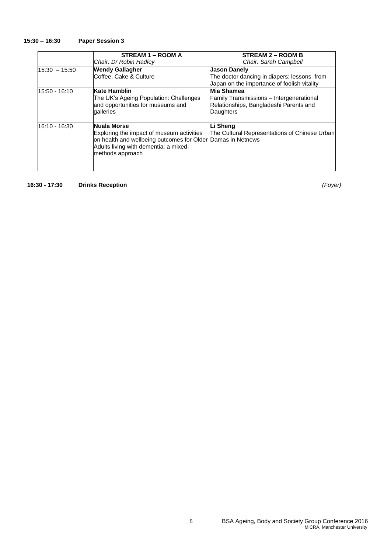### **15:30 – 16:30 Paper Session 3**

|               | STREAM 1 - ROOM A                                                                                                                                                                           | <b>STREAM 2 – ROOM B</b>                                                                               |
|---------------|---------------------------------------------------------------------------------------------------------------------------------------------------------------------------------------------|--------------------------------------------------------------------------------------------------------|
|               | Chair: Dr Robin Hadley                                                                                                                                                                      | Chair: Sarah Campbell                                                                                  |
| 15:30 - 15:50 | <b>Wendy Gallagher</b>                                                                                                                                                                      | Jason Danely                                                                                           |
|               | Coffee, Cake & Culture                                                                                                                                                                      | The doctor dancing in diapers: lessons from<br>Japan on the importance of foolish vitality             |
| 15:50 - 16:10 | <b>Kate Hamblin</b>                                                                                                                                                                         | Mia Shamea                                                                                             |
|               | The UK's Ageing Population: Challenges<br>and opportunities for museums and<br>qalleries                                                                                                    | <b>Family Transmissions - Intergenerational</b><br>Relationships, Bangladeshi Parents and<br>Daughters |
| 16:10 - 16:30 | <b>Nuala Morse</b><br>Exploring the impact of museum activities<br>on health and wellbeing outcomes for Older Damas in Netnews<br>Adults living with dementia: a mixed-<br>methods approach | Li Sheng<br>The Cultural Representations of Chinese Urban                                              |

**16:30 - 17:30 Drinks Reception** *(Foyer)*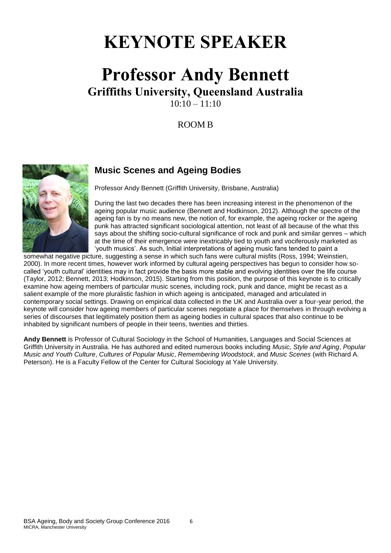# **KEYNOTE SPEAKER**

### **Professor Andy Bennett Griffiths University, Queensland Australia**  $10 \cdot 10 - 11 \cdot 10$

ROOM B



### **Music Scenes and Ageing Bodies**

Professor Andy Bennett (Griffith University, Brisbane, Australia)

During the last two decades there has been increasing interest in the phenomenon of the ageing popular music audience (Bennett and Hodkinson, 2012). Although the spectre of the ageing fan is by no means new, the notion of, for example, the ageing rocker or the ageing punk has attracted significant sociological attention, not least of all because of the what this says about the shifting socio-cultural significance of rock and punk and similar genres – which at the time of their emergence were inextricably tied to youth and vociferously marketed as 'youth musics'. As such, Initial interpretations of ageing music fans tended to paint a

somewhat negative picture, suggesting a sense in which such fans were cultural misfits (Ross, 1994; Weinstien, 2000). In more recent times, however work informed by cultural ageing perspectives has begun to consider how socalled 'youth cultural' identities may in fact provide the basis more stable and evolving identities over the life course (Taylor, 2012; Bennett, 2013; Hodkinson, 2015). Starting from this position, the purpose of this keynote is to critically examine how ageing members of particular music scenes, including rock, punk and dance, might be recast as a salient example of the more pluralistic fashion in which ageing is anticipated, managed and articulated in contemporary social settings. Drawing on empirical data collected in the UK and Australia over a four-year period, the keynote will consider how ageing members of particular scenes negotiate a place for themselves in through evolving a series of discourses that legitimately position them as ageing bodies in cultural spaces that also continue to be inhabited by significant numbers of people in their teens, twenties and thirties.

**Andy Bennett** is Professor of Cultural Sociology in the School of Humanities, Languages and Social Sciences at Griffith University in Australia. He has authored and edited numerous books including *Music, Style and Aging*, *Popular Music and Youth Culture*, *Cultures of Popular Music*, *Remembering Woodstock*, and *Music Scenes* (with Richard A. Peterson). He is a Faculty Fellow of the Center for Cultural Sociology at Yale University.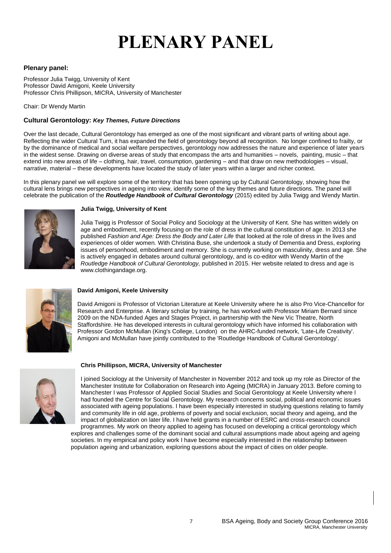# **PLENARY PANEL**

### **Plenary panel:**

Professor Julia Twigg, University of Kent Professor David Amigoni, Keele University Professor Chris Phillipson, MICRA, University of Manchester

Chair: Dr Wendy Martin

### **Cultural Gerontology:** *Key Themes, Future Directions*

Over the last decade, Cultural Gerontology has emerged as one of the most significant and vibrant parts of writing about age. Reflecting the wider Cultural Turn, it has expanded the field of gerontology beyond all recognition. No longer confined to frailty, or by the dominance of medical and social welfare perspectives, gerontology now addresses the nature and experience of later years in the widest sense. Drawing on diverse areas of study that encompass the arts and humanities – novels, painting, music – that extend into new areas of life – clothing, hair, travel, consumption, gardening – and that draw on new methodologies – visual, narrative, material – these developments have located the study of later years within a larger and richer context.

In this plenary panel we will explore some of the territory that has been opening up by Cultural Gerontology, showing how the cultural lens brings new perspectives in ageing into view, identify some of the key themes and future directions. The panel will celebrate the publication of the *Routledge Handbook of Cultural Gerontology* (2015) edited by Julia Twigg and Wendy Martin.



### **Julia Twigg, University of Kent**

Julia Twigg is Professor of Social Policy and Sociology at the University of Kent. She has written widely on age and embodiment, recently focusing on the role of dress in the cultural constitution of age. In 2013 she published *Fashion and Age: Dress the Body and Later Life* that looked at the role of dress in the lives and experiences of older women*.* With Christina Buse, she undertook a study of Dementia and Dress, exploring issues of personhood, embodiment and memory. She is currently working on masculinity, dress and age. She is actively engaged in debates around cultural gerontology, and is co-editor with Wendy Martin of the *Routledge Handbook of Cultural Gerontology,* published in 2015. Her website related to dress and age is www.clothingandage.org.



### **David Amigoni, Keele University**

David Amigoni is Professor of Victorian Literature at Keele University where he is also Pro Vice-Chancellor for Research and Enterprise. A literary scholar by training, he has worked with Professor Miriam Bernard since 2009 on the NDA-funded Ages and Stages Project, in partnership with the New Vic Theatre, North Staffordshire. He has developed interests in cultural gerontology which have informed his collaboration with Professor Gordon McMullan (King's College, London) on the AHRC-funded network, 'Late-Life Creativity'. Amigoni and McMullan have jointly contributed to the 'Routledge Handbook of Cultural Gerontology'.



#### **Chris Phillipson, MICRA, University of Manchester**

I joined Sociology at the University of Manchester in November 2012 and took up my role as Director of the Manchester Institute for Collaboration on Research into Ageing (MICRA) in January 2013. Before coming to Manchester I was Professor of Applied Social Studies and Social Gerontology at Keele University where I had founded the Centre for Social Gerontology. My research concerns social, political and economic issues associated with ageing populations. I have been especially interested in studying questions relating to family and community life in old age, problems of poverty and social exclusion, social theory and ageing, and the impact of globalization on later life. I have held grants in a number of ESRC and cross-research council programmes. My work on theory applied to ageing has focused on developing a critical gerontology which

explores and challenges some of the dominant social and cultural assumptions made about ageing and ageing societies. In my empirical and policy work I have become especially interested in the relationship between population ageing and urbanization, exploring questions about the impact of cities on older people.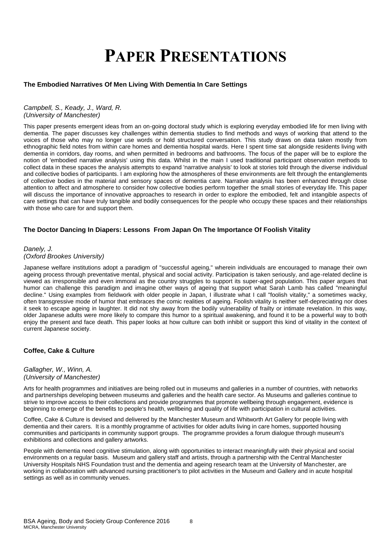# **PAPER PRESENTATIONS**

### **The Embodied Narratives Of Men Living With Dementia In Care Settings**

### *Campbell, S., Keady, J., Ward, R. (University of Manchester)*

This paper presents emergent ideas from an on-going doctoral study which is exploring everyday embodied life for men living with dementia. The paper discusses key challenges within dementia studies to find methods and ways of working that attend to the voices of those who may no longer use words or hold structured conversation. This study draws on data taken mostly from ethnographic field notes from within care homes and dementia hospital wards. Here I spent time sat alongside residents living with dementia in corridors, day rooms, and when permitted in bedrooms and bathrooms. The focus of the paper will be to explore the notion of 'embodied narrative analysis' using this data. Whilst in the main I used traditional participant observation methods to collect data in these spaces the analysis attempts to expand 'narrative analysis' to look at stories told through the diverse individual and collective bodies of participants. I am exploring how the atmospheres of these environments are felt through the entanglements of collective bodies in the material and sensory spaces of dementia care. Narrative analysis has been enhanced through close attention to affect and atmosphere to consider how collective bodies perform together the small stories of everyday life. This paper will discuss the importance of innovative approaches to research in order to explore the embodied, felt and intangible aspects of care settings that can have truly tangible and bodily consequences for the people who occupy these spaces and their relationships with those who care for and support them.

### **The Doctor Dancing In Diapers: Lessons From Japan On The Importance Of Foolish Vitality**

### *Danely, J. (Oxford Brookes University)*

Japanese welfare institutions adopt a paradigm of "successful ageing," wherein individuals are encouraged to manage their own ageing process through preventative mental, physical and social activity. Participation is taken seriously, and age-related decline is viewed as irresponsible and even immoral as the country struggles to support its super-aged population. This paper argues that humor can challenge this paradigm and imagine other ways of ageing that support what Sarah Lamb has called "meaningful decline." Using examples from fieldwork with older people in Japan, I illustrate what I call "foolish vitality," a sometimes wacky, often transgressive mode of humor that embraces the comic realities of ageing. Foolish vitality is neither self-depreciating nor does it seek to escape ageing in laughter. It did not shy away from the bodily vulnerability of frailty or intimate revelation. In this way, older Japanese adults were more likely to compare this humor to a spiritual awakening, and found it to be a powerful way to both enjoy the present and face death. This paper looks at how culture can both inhibit or support this kind of vitality in the context of current Japanese society.

### **Coffee, Cake & Culture**

### *Gallagher, W., Winn, A. (University of Manchester)*

Arts for health programmes and initiatives are being rolled out in museums and galleries in a number of countries, with networks and partnerships developing between museums and galleries and the health care sector. As Museums and galleries continue to strive to improve access to their collections and provide programmes that promote wellbeing through engagement, evidence is beginning to emerge of the benefits to people's health, wellbeing and quality of life with participation in cultural activities.

Coffee, Cake & Culture is devised and delivered by the Manchester Museum and Whitworth Art Gallery for people living with dementia and their carers. It is a monthly programme of activities for older adults living in care homes, supported housing communities and participants in community support groups. The programme provides a forum dialogue through museum's exhibitions and collections and gallery artworks.

People with dementia need cognitive stimulation, along with opportunities to interact meaningfully with their physical and social environments on a regular basis. Museum and gallery staff and artists, through a partnership with the Central Manchester University Hospitals NHS Foundation trust and the dementia and ageing research team at the University of Manchester, are working in collaboration with advanced nursing practitioner's to pilot activities in the Museum and Gallery and in acute hospital settings as well as in community venues.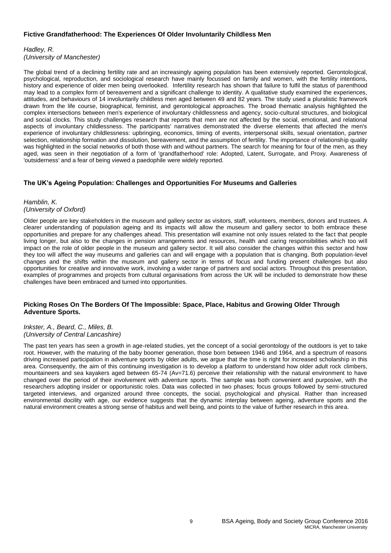### **Fictive Grandfatherhood: The Experiences Of Older Involuntarily Childless Men**

### *Hadley, R. (University of Manchester)*

The global trend of a declining fertility rate and an increasingly ageing population has been extensively reported. Gerontological, psychological, reproduction, and sociological research have mainly focussed on family and women, with the fertility intentions, history and experience of older men being overlooked. Infertility research has shown that failure to fulfil the status of parenthood may lead to a complex form of bereavement and a significant challenge to identity. A qualitative study examined the experiences, attitudes, and behaviours of 14 involuntarily childless men aged between 49 and 82 years. The study used a pluralistic framework drawn from the life course, biographical, feminist, and gerontological approaches. The broad thematic analysis highlighted the complex intersections between men's experience of involuntary childlessness and agency, socio-cultural structures, and biological and social clocks. This study challenges research that reports that men are not affected by the social, emotional, and relational aspects of involuntary childlessness. The participants' narratives demonstrated the diverse elements that affected the men's experience of involuntary childlessness: upbringing, economics, timing of events, interpersonal skills, sexual orientation, partner selection, relationship formation and dissolution, bereavement, and the assumption of fertility. The importance of relationship quality was highlighted in the social networks of both those with and without partners. The search for meaning for four of the men, as they aged, was seen in their negotiation of a form of 'grandfatherhood' role: Adopted, Latent, Surrogate, and Proxy. Awareness of 'outsiderness' and a fear of being viewed a paedophile were widely reported.

### **The UK's Ageing Population: Challenges and Opportunities For Museums and Galleries**

### *Hamblin, K. (University of Oxford)*

Older people are key stakeholders in the museum and gallery sector as visitors, staff, volunteers, members, donors and trustees. A clearer understanding of population ageing and its impacts will allow the museum and gallery sector to both embrace these opportunities and prepare for any challenges ahead. This presentation will examine not only issues related to the fact that people living longer, but also to the changes in pension arrangements and resources, health and caring responsibilities which too will impact on the role of older people in the museum and gallery sector. It will also consider the changes within this sector and how they too will affect the way museums and galleries can and will engage with a population that is changing. Both population-level changes and the shifts within the museum and gallery sector in terms of focus and funding present challenges but also opportunities for creative and innovative work, involving a wider range of partners and social actors. Throughout this presentation, examples of programmes and projects from cultural organisations from across the UK will be included to demonstrate how these challenges have been embraced and turned into opportunities.

### **Picking Roses On The Borders Of The Impossible: Space, Place, Habitus and Growing Older Through Adventure Sports.**

### *Inkster, A., Beard, C., Miles, B. (University of Central Lancashire)*

The past ten years has seen a growth in age-related studies, yet the concept of a social gerontology of the outdoors is yet to take root. However, with the maturing of the baby boomer generation, those born between 1946 and 1964, and a spectrum of reasons driving increased participation in adventure sports by older adults, we argue that the time is right for increased scholarship in this area. Consequently, the aim of this continuing investigation is to develop a platform to understand how older adult rock climbers, mountaineers and sea kayakers aged between 65-74 (Av=71.6) perceive their relationship with the natural environment to have changed over the period of their involvement with adventure sports. The sample was both convenient and purposive, with the researchers adopting insider or opportunistic roles. Data was collected in two phases; focus groups followed by semi-structured targeted interviews, and organized around three concepts, the social, psychological and physical. Rather than increased environmental docility with age, our evidence suggests that the dynamic interplay between ageing, adventure sports and the natural environment creates a strong sense of habitus and well being, and points to the value of further research in this area.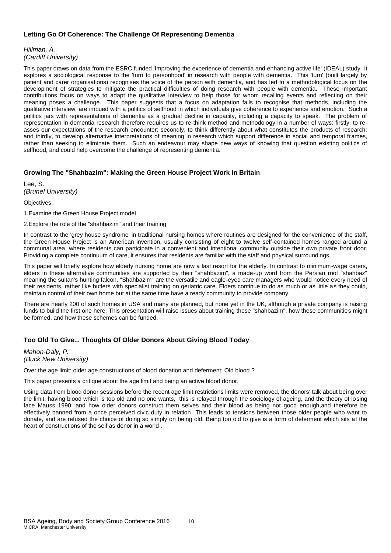### **Letting Go Of Coherence: The Challenge Of Representing Dementia**

*Hillman, A. (Cardiff University)*

This paper draws on data from the ESRC funded 'Improving the experience of dementia and enhancing active life' (IDEAL) study. It explores a sociological response to the 'turn to personhood' in research with people with dementia. This 'turn' (built largely by patient and carer organisations) recognises the voice of the person with dementia, and has led to a methodological focus on the development of strategies to mitigate the practical difficulties of doing research with people with dementia. These important contributions focus on ways to adapt the qualitative interview to help those for whom recalling events and reflecting on their meaning poses a challenge. This paper suggests that a focus on adaptation fails to recognise that methods, including the qualitative interview, are imbued with a politics of selfhood in which individuals give coherence to experience and emotion. Such a politics jars with representations of dementia as a gradual decline in capacity, including a capacity to speak. The problem of representation in dementia research therefore requires us to re-think method and methodology in a number of ways: firstly, to reasses our expectations of the research encounter; secondly, to think differently about what constitutes the products of research; and thirdly, to develop alternative interpretations of meaning in research which support difference in social and temporal frames, rather than seeking to eliminate them. Such an endeavour may shape new ways of knowing that question existing politics of selfhood, and could help overcome the challenge of representing dementia.

### **Growing The "Shahbazim": Making the Green House Project Work in Britain**

Lee, S. *(Brunel University)*

Objectives:

1.Examine the Green House Project model

2.Explore the role of the "shahbazim" and their training

In contrast to the 'grey house syndrome' in traditional nursing homes where routines are designed for the convenience of the staff, the Green House Project is an American invention, usually consisting of eight to twelve self-contained homes ranged around a communal area, where residents can participate in a convenient and intentional community outside their own private front door. Providing a complete continuum of care, it ensures that residents are familiar with the staff and physical surroundings.

This paper will briefly explore how elderly nursing home are now a last resort for the elderly. In contrast to minimum-wage carers, elders in these alternative communities are supported by their "shahbazim", a made-up word from the Persian root "shahbaz" meaning the sultan's hunting falcon. "Shahbazim" are the versatile and eagle-eyed care managers who would notice every need of their residents, rather like butlers with specialist training on geriatric care. Elders continue to do as much or as little as they could, maintain control of their own home but at the same time have a ready community to provide company.

There are nearly 200 of such homes in USA and many are planned, but none yet in the UK, although a private company is raising funds to build the first one here. This presentation will raise issues about training these "shahbazim", how these communities might be formed, and how these schemes can be funded.

### **Too Old To Give... Thoughts Of Older Donors About Giving Blood Today**

*Mahon-Daly, P. (Buck New University)*

Over the age limit: older age constructions of blood donation and deferment: Old blood ?

This paper presents a critique about the age limit and being an active blood donor.

Using data from blood donor sessions before the recent age limit restrictions limits were removed, the donors' talk about being over the limit, having blood which is too old and no one wants, this is relayed through the sociology of ageing, and the theory of losing face Mauss 1990, and how older donors construct them selves and their blood as being not good enough,and therefore be effectively banned from a once perceived civic duty in relation This leads to tensions between those older people who want to donate, and are refused the choice of doing so simply on being old. Being too old to give is a form of deferment which sits at the heart of constructions of the self as donor in a world .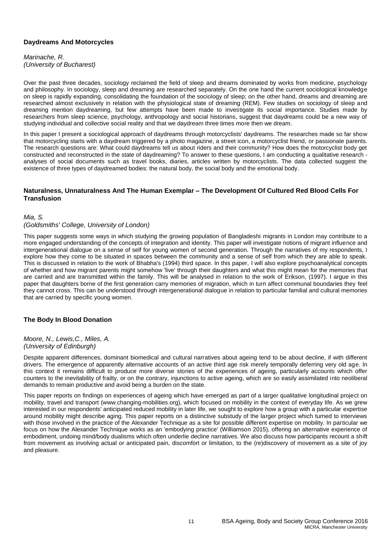### **Daydreams And Motorcycles**

*Marinache, R. (University of Bucharest)*

Over the past three decades, sociology reclaimed the field of sleep and dreams dominated by works from medicine, psychology and philosophy. In sociology, sleep and dreaming are researched separately. On the one hand the current sociological knowledge on sleep is rapidly expanding, consolidating the foundation of the sociology of sleep; on the other hand, dreams and dreaming are researched almost exclusively in relation with the physiological state of dreaming (REM). Few studies on sociology of sleep and dreaming mention daydreaming, but few attempts have been made to investigate its social importance. Studies made by researchers from sleep science, psychology, anthropology and social historians, suggest that daydreams could be a new way of studying individual and collective social reality and that we daydream three times more then we dream.

In this paper I present a sociological approach of daydreams through motorcyclists' daydreams. The researches made so far show that motorcycling starts with a daydream triggered by a photo magazine, a street icon, a motorcyclist friend, or passionate parents. The research questions are: What could daydreams tell us about riders and their community? How does the motorcyclist body get constructed and reconstructed in the state of daydreaming? To answer to these questions, I am conducting a qualitative research analyses of social documents such as travel books, diaries, articles written by motorcyclists. The data collected suggest the existence of three types of daydreamed bodies: the natural body, the social body and the emotional body.

### **Naturalness, Unnaturalness And The Human Exemplar – The Development Of Cultured Red Blood Cells For Transfusion**

### *Mia, S.*

### *(Goldsmiths' College, University of London)*

This paper suggests some ways in which studying the growing population of Bangladeshi migrants in London may contribute to a more engaged understanding of the concepts of integration and identity. This paper will investigate notions of migrant influence and intergenerational dialogue on a sense of self for young women of second generation. Through the narratives of my respondents, I explore how they come to be situated in spaces between the community and a sense of self from which they are able to speak. This is discussed in relation to the work of Bhabha's (1994) third space. In this paper, I will also explore psychoanalytical concepts of whether and how migrant parents might somehow 'live' through their daughters and what this might mean for the memories that are carried and are transmitted within the family. This will be analysed in relation to the work of Erikson, (1997). I argue in this paper that daughters borne of the first generation carry memories of migration, which in turn affect communal boundaries they feel they cannot cross. This can be understood through intergenerational dialogue in relation to particular familial and cultural memories that are carried by specific young women.

### **The Body In Blood Donation**

*Moore, N., Lewis,C., Miles, A. (University of Edinburgh)*

Despite apparent differences, dominant biomedical and cultural narratives about ageing tend to be about decline, if with different drivers. The emergence of apparently alternative accounts of an active third age risk merely temporally deferring very old age. In this context it remains difficult to produce more diverse stories of the experiences of ageing, particularly accounts which offer counters to the inevitability of frailty, or on the contrary, injunctions to active ageing, which are so easily assimilated into neoliberal demands to remain productive and avoid being a burden on the state.

This paper reports on findings on experiences of ageing which have emerged as part of a larger qualitative longitudinal project on mobility, travel and transport (www.changing-mobilities.org), which focused on mobility in the context of everyday life. As we grew interested in our respondents' anticipated reduced mobility in later life, we sought to explore how a group with a particular expertise around mobility might describe aging. This paper reports on a distinctive substudy of the larger project which turned to interviews with those involved in the practice of the Alexander Technique as a site for possible different expertise on mobility. In particular we focus on how the Alexander Technique works as an 'embodying practice' (Williamson 2015), offering an alternative experience of embodiment, undoing mind/body dualisms which often underlie decline narratives. We also discuss how participants recount a shift from movement as involving actual or anticipated pain, discomfort or limitation, to the (re)discovery of movement as a site of joy and pleasure.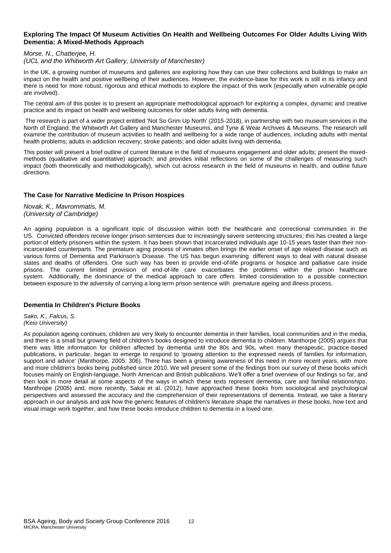### **Exploring The Impact Of Museum Activities On Health and Wellbeing Outcomes For Older Adults Living With Dementia: A Mixed-Methods Approach**

### *Morse, N., Chatterjee, H.*

### *(UCL and the Whitworth Art Gallery, University of Manchester)*

In the UK, a growing number of museums and galleries are exploring how they can use their collections and buildings to make an impact on the health and positive wellbeing of their audiences. However, the evidence-base for this work is still in its infancy and there is need for more robust, rigorous and ethical methods to explore the impact of this work (especially when vulnerable people are involved).

The central aim of this poster is to present an appropriate methodological approach for exploring a complex, dynamic and creative practice and its impact on health and wellbeing outcomes for older adults living with dementia.

The research is part of a wider project entitled 'Not So Grim Up North' (2015-2018), in partnership with two museum services in the North of England: the Whitworth Art Gallery and Manchester Museums, and Tyne & Wear Archives & Museums. The research will examine the contribution of museum activities to health and wellbeing for a wide range of audiences, including adults with mental health problems; adults in addiction recovery; stroke patients; and older adults living with dementia.

This poster will present a brief outline of current literature in the field of museums engagement and older adults; present the mixedmethods (qualitative and quantitative) approach; and provides initial reflections on some of the challenges of measuring such impact (both theoretically and methodologically), which cut across research in the field of museums in health, and outline future directions.

### **The Case for Narrative Medicine In Prison Hospices**

*Novak, K., Mavrommatis, M. (University of Cambridge)*

An ageing population is a significant topic of discussion within both the healthcare and correctional communities in the US. Convicted offenders receive longer prison sentences due to increasingly severe sentencing structures; this has created a large portion of elderly prisoners within the system. It has been shown that incarcerated individuals age 10-15 years faster than their nonincarcerated counterparts. The premature aging process of inmates often brings the earlier onset of age related disease such as various forms of Dementia and Parkinson's Disease. The US has begun examining different ways to deal with natural disease states and deaths of offenders. One such way has been to provide end-of-life programs or hospice and palliative care inside prisons. The current limited provision of end-of-life care exacerbates the problems within the prison healthcare system. Additionally, the dominance of the medical approach to care offers limited consideration to a possible connection between exposure to the adversity of carrying a long term prison sentence with premature ageing and illness process.

### **Dementia In Children's Picture Books**

*Sako, K., Falcus, S. (Keio University)*

As population ageing continues, children are very likely to encounter dementia in their families, local communities and in the media, and there is a small but growing field of children's books designed to introduce dementia to children. Manthorpe (2005) argues that there was little information for children affected by dementia until the 80s and 90s, when many therapeutic, practice-based publications, in particular, began to emerge to respond to 'growing attention to the expressed needs of families for information, support and advice' (Manthorpe, 2005: 306). There has been a growing awareness of this need in more recent years, with more and more children's books being published since 2010. We will present some of the findings from our survey of these books which focuses mainly on English-language, North American and British publications. We'll offer a brief overview of our findings so far, and then look in more detail at some aspects of the ways in which these texts represent dementia, care and familial relationships. Manthrope (2005) and, more recently, Sakai et al. (2012), have approached these books from sociological and psychological perspectives and assessed the accuracy and the comprehension of their representations of dementia. Instead, we take a literary approach in our analysis and ask how the generic features of children's literature shape the narratives in these books, how text and visual image work together, and how these books introduce children to dementia in a loved one.